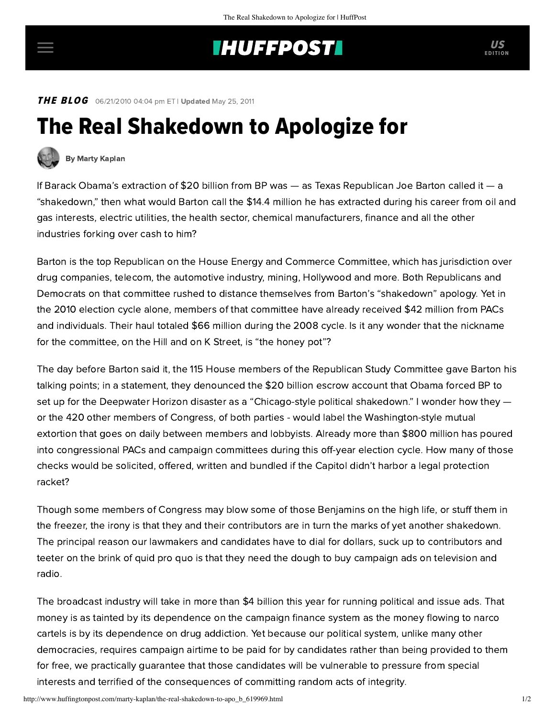## **INUFFPOST**

**THE BLOG** 06/21/2010 04:04 pm ET | Updated May 25, 2011

## The Real Shakedown to Apologize for



[By Marty Kaplan](http://www.huffingtonpost.com/author/marty-kaplan)

If Barack Obama's extraction of \$20 billion from BP was — as Texas Republican Joe Barton called it — a "shakedown," then what would Barton call the [\\$14.4 million](http://www.opensecrets.org/politicians/industries.php?cycle=Career&cid=N00005656&type=I) he has extracted during his career from oil and gas interests, electric utilities, the health sector, chemical manufacturers, finance and all the other industries forking over cash to him?

Barton is the top Republican on the House Energy and Commerce Committee, which has jurisdiction over drug companies, telecom, the automotive industry, mining, Hollywood and more. Both Republicans and Democrats on that committee rushed to distance themselves from Barton's "shakedown" apology. Yet in the 2010 election cycle alone, members of that committee have already received [\\$42 million](http://www.opensecrets.org/cmteprofiles/overview.php?cmteid=H07&cmte=HENE&congno=111&chamber=H) from PACs and individuals. Their haul totaled [\\$66 million](http://www.opensecrets.org/cmteprofiles/overview.php?cycle=2010&cmteid=H07&cmte=HENE&congno=110&chamber=H) during the 2008 cycle. Is it any wonder that the nickname for the committee, on the Hill and on K Street, is "the honey pot"?

The day before Barton said it, the [115 House members](http://rsc.tomprice.house.gov/AboutRSC/memberlist.htm) of the Republican Study Committee gave Barton his talking points; ina [statement](http://rsc.tomprice.house.gov/News/DocumentSingle.aspx?DocumentID=191125), they denounced the \$20 billion escrow account that Obama forced BP to set up for the Deepwater Horizon disaster as a "Chicago-style political shakedown." I wonder how they or the 420 other members of Congress, of both parties - would label the Washington-style mutual extortion that goes on daily between members and lobbyists. Already more than [\\$800 million](http://rsc.tomprice.house.gov/News/DocumentSingle.aspx?DocumentID=191125) has poured into congressional PACs and campaign committees during this off-year election cycle. How many of those checks would be solicited, offered, written and bundled if the Capitol didn't harbor a legal protection racket?

Though some members of Congress may blow some of those Benjamins on the high life, or stuff them in the freezer, the irony is that they and their contributors are in turn the marks of yet another shakedown. The principal reason our lawmakers and candidates have to dial for dollars, suck up to contributors and teeter on the brink of quid pro quo is that they need the dough to buy campaign ads on television and radio.

The broadcast industry will take in more than [\\$4 billion](http://www.tvnewscheck.com/articles/2010/02/05/daily.1/) this year for running political and issue ads. That money is as tainted by its dependence on the campaign finance system as the money flowing to narco cartels is by its dependence on drug addiction. Yet because our political system, unlike many other democracies, requires campaign airtime to be paid for by candidates rather than being provided to them for free, we practically guarantee that those candidates will be vulnerable to pressure from special interests and terrified of the consequences of committing random acts of integrity.